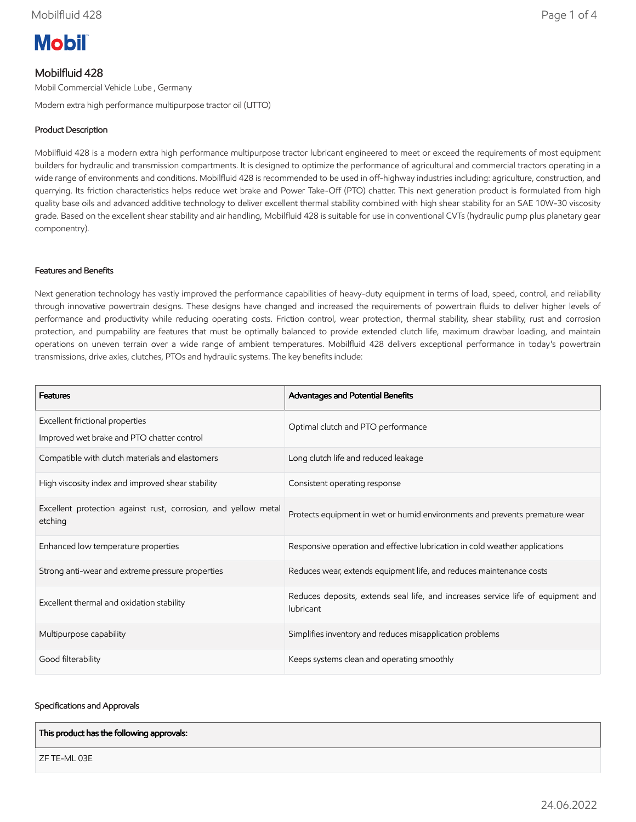# **Mobil**

### Mobilfluid 428

Mobil Commercial Vehicle Lube , Germany

Modern extra high performance multipurpose tractor oil (UTTO)

#### Product Description

Mobilfluid 428 is a modern extra high performance multipurpose tractor lubricant engineered to meet or exceed the requirements of most equipment builders for hydraulic and transmission compartments. It is designed to optimize the performance of agricultural and commercial tractors operating in a wide range of environments and conditions. Mobilfluid 428 is recommended to be used in off-highway industries including: agriculture, construction, and quarrying. Its friction characteristics helps reduce wet brake and Power Take-Off (PTO) chatter. This next generation product is formulated from high quality base oils and advanced additive technology to deliver excellent thermal stability combined with high shear stability for an SAE 10W-30 viscosity grade. Based on the excellent shear stability and air handling, Mobilfluid 428 is suitable for use in conventional CVTs (hydraulic pump plus planetary gear componentry).

#### Features and Benefits

Next generation technology has vastly improved the performance capabilities of heavy-duty equipment in terms of load, speed, control, and reliability through innovative powertrain designs. These designs have changed and increased the requirements of powertrain fluids to deliver higher levels of performance and productivity while reducing operating costs. Friction control, wear protection, thermal stability, shear stability, rust and corrosion protection, and pumpability are features that must be optimally balanced to provide extended clutch life, maximum drawbar loading, and maintain operations on uneven terrain over a wide range of ambient temperatures. Mobilfluid 428 delivers exceptional performance in today's powertrain transmissions, drive axles, clutches, PTOs and hydraulic systems. The key benefits include:

| <b>Features</b>                                                           | Advantages and Potential Benefits                                                             |  |
|---------------------------------------------------------------------------|-----------------------------------------------------------------------------------------------|--|
| Excellent frictional properties                                           | Optimal clutch and PTO performance                                                            |  |
| Improved wet brake and PTO chatter control                                |                                                                                               |  |
| Compatible with clutch materials and elastomers                           | Long clutch life and reduced leakage                                                          |  |
| High viscosity index and improved shear stability                         | Consistent operating response                                                                 |  |
| Excellent protection against rust, corrosion, and yellow metal<br>etching | Protects equipment in wet or humid environments and prevents premature wear                   |  |
| Enhanced low temperature properties                                       | Responsive operation and effective lubrication in cold weather applications                   |  |
| Strong anti-wear and extreme pressure properties                          | Reduces wear, extends equipment life, and reduces maintenance costs                           |  |
| Excellent thermal and oxidation stability                                 | Reduces deposits, extends seal life, and increases service life of equipment and<br>lubricant |  |
| Multipurpose capability                                                   | Simplifies inventory and reduces misapplication problems                                      |  |
| Good filterability                                                        | Keeps systems clean and operating smoothly                                                    |  |

#### Specifications and Approvals

| This product has the following approvals: |  |
|-------------------------------------------|--|
| ZF TE-ML 03E                              |  |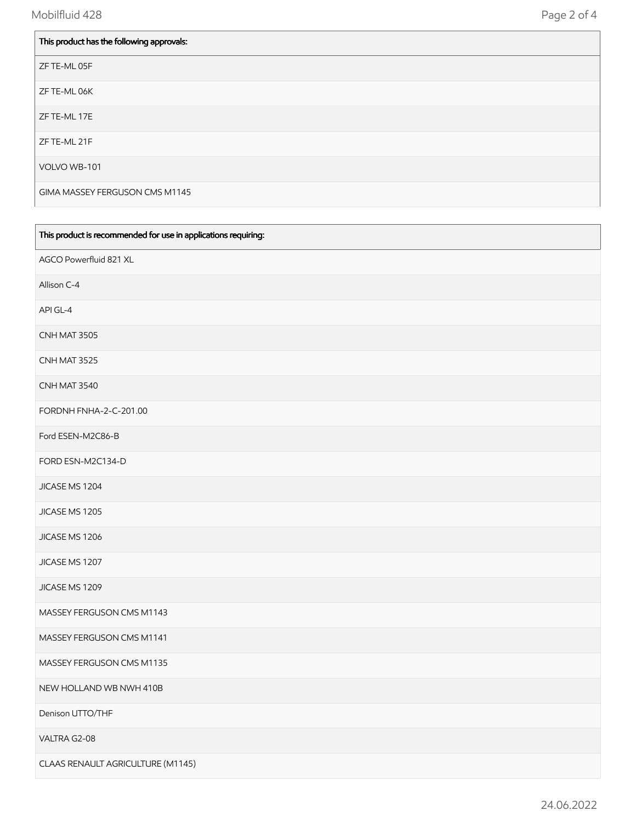| This product has the following approvals: |
|-------------------------------------------|
| ZF TE-ML 05F                              |
| ZF TE-ML 06K                              |
| ZF TE-ML 17E                              |
| ZF TE-ML 21F                              |
| VOLVO WB-101                              |
| GIMA MASSEY FERGUSON CMS M1145            |

| This product is recommended for use in applications requiring: |
|----------------------------------------------------------------|
| AGCO Powerfluid 821 XL                                         |
| Allison C-4                                                    |
| API GL-4                                                       |
| CNH MAT 3505                                                   |
| CNH MAT 3525                                                   |
| CNH MAT 3540                                                   |
| FORDNH FNHA-2-C-201.00                                         |
| Ford ESEN-M2C86-B                                              |
| FORD ESN-M2C134-D                                              |
| JICASE MS 1204                                                 |
| JICASE MS 1205                                                 |
| JICASE MS 1206                                                 |
| JICASE MS 1207                                                 |
| JICASE MS 1209                                                 |
| MASSEY FERGUSON CMS M1143                                      |
| MASSEY FERGUSON CMS M1141                                      |
| MASSEY FERGUSON CMS M1135                                      |
| NEW HOLLAND WB NWH 410B                                        |
| Denison UTTO/THF                                               |
| VALTRA G2-08                                                   |
| CLAAS RENAULT AGRICULTURE (M1145)                              |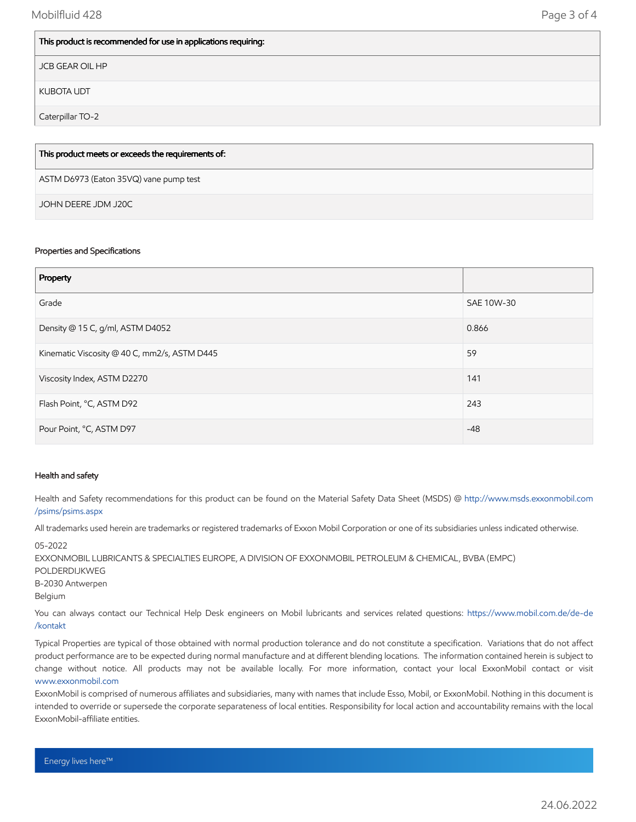#### This product is recommended for use in applications requiring:

JCB GEAR OIL HP

KUBOTA UDT

Caterpillar TO-2

## ASTM D6973 (Eaton 35VQ) vane pump test This product meets or exceeds the requirements of:

JOHN DEERE JDM J20C

#### Properties and Specifications

| Property                                     |            |
|----------------------------------------------|------------|
| Grade                                        | SAE 10W-30 |
| Density @ 15 C, g/ml, ASTM D4052             | 0.866      |
| Kinematic Viscosity @ 40 C, mm2/s, ASTM D445 | 59         |
| Viscosity Index, ASTM D2270                  | 141        |
| Flash Point, °C, ASTM D92                    | 243        |
| Pour Point, °C, ASTM D97                     | $-48$      |

#### Health and safety

Health and Safety recommendations for this product can be found on the Material Safety Data Sheet (MSDS) @ [http://www.msds.exxonmobil.com](http://www.msds.exxonmobil.com/psims/psims.aspx) /psims/psims.aspx

All trademarks used herein are trademarks or registered trademarks of Exxon Mobil Corporation or one of its subsidiaries unless indicated otherwise.

05-2022

EXXONMOBIL LUBRICANTS & SPECIALTIES EUROPE, A DIVISION OF EXXONMOBIL PETROLEUM & CHEMICAL, BVBA (EMPC) POLDERDIJKWEG B-2030 Antwerpen Belgium You can always contact our Technical Help Desk engineers on Mobil lubricants and services related questions: [https://www.mobil.com.de/de-de](https://www.mobil.com.de/de-de/kontakt)

/kontakt

Typical Properties are typical of those obtained with normal production tolerance and do not constitute a specification. Variations that do not affect product performance are to be expected during normal manufacture and at different blending locations. The information contained herein is subject to change without notice. All products may not be available locally. For more information, contact your local ExxonMobil contact or visit [www.exxonmobil.com](http://www.exxonmobil.com/)

ExxonMobil is comprised of numerous affiliates and subsidiaries, many with names that include Esso, Mobil, or ExxonMobil. Nothing in this document is intended to override or supersede the corporate separateness of local entities. Responsibility for local action and accountability remains with the local ExxonMobil-affiliate entities.